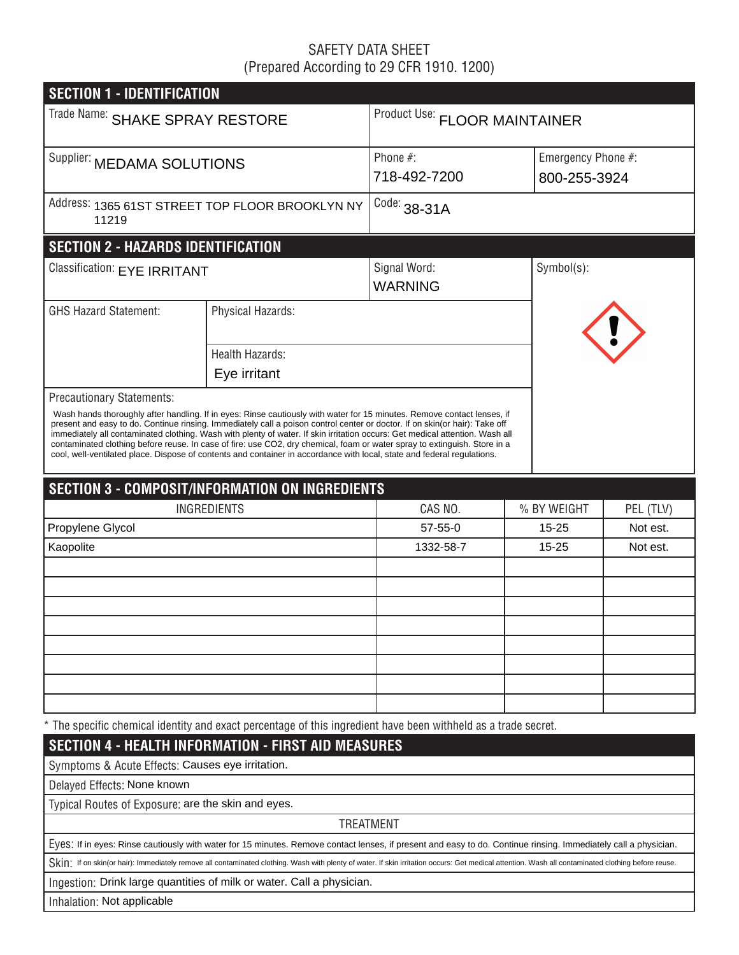# SAFETY DATA SHEET (Prepared According to 29 CFR 1910. 1200)

| <b>SECTION 1 - IDENTIFICATION</b>                        |                                                                                                                                                                                                                                                                                                                                                                                                                                                                                                                                                                                                                                                |                                |             |                                    |  |  |  |  |
|----------------------------------------------------------|------------------------------------------------------------------------------------------------------------------------------------------------------------------------------------------------------------------------------------------------------------------------------------------------------------------------------------------------------------------------------------------------------------------------------------------------------------------------------------------------------------------------------------------------------------------------------------------------------------------------------------------------|--------------------------------|-------------|------------------------------------|--|--|--|--|
| Trade Name: SHAKE SPRAY RESTORE                          |                                                                                                                                                                                                                                                                                                                                                                                                                                                                                                                                                                                                                                                | Product Use: FLOOR MAINTAINER  |             |                                    |  |  |  |  |
| Supplier: MEDAMA SOLUTIONS                               |                                                                                                                                                                                                                                                                                                                                                                                                                                                                                                                                                                                                                                                | Phone $#$ :<br>718-492-7200    |             | Emergency Phone #:<br>800-255-3924 |  |  |  |  |
| Address: 1365 61ST STREET TOP FLOOR BROOKLYN NY<br>11219 |                                                                                                                                                                                                                                                                                                                                                                                                                                                                                                                                                                                                                                                | Code: $38-31A$                 |             |                                    |  |  |  |  |
| <b>SECTION 2 - HAZARDS IDENTIFICATION</b>                |                                                                                                                                                                                                                                                                                                                                                                                                                                                                                                                                                                                                                                                |                                |             |                                    |  |  |  |  |
| Classification: EYE IRRITANT                             |                                                                                                                                                                                                                                                                                                                                                                                                                                                                                                                                                                                                                                                | Signal Word:<br><b>WARNING</b> | Symbol(s):  |                                    |  |  |  |  |
| <b>GHS Hazard Statement:</b>                             | Physical Hazards:                                                                                                                                                                                                                                                                                                                                                                                                                                                                                                                                                                                                                              |                                |             |                                    |  |  |  |  |
|                                                          | <b>Health Hazards:</b><br>Eye irritant                                                                                                                                                                                                                                                                                                                                                                                                                                                                                                                                                                                                         |                                |             |                                    |  |  |  |  |
| Precautionary Statements:                                | Wash hands thoroughly after handling. If in eyes: Rinse cautiously with water for 15 minutes. Remove contact lenses, if<br>present and easy to do. Continue rinsing. Immediately call a poison control center or doctor. If on skin(or hair): Take off<br>immediately all contaminated clothing. Wash with plenty of water. If skin irritation occurs: Get medical attention. Wash all<br>contaminated clothing before reuse. In case of fire: use CO2, dry chemical, foam or water spray to extinguish. Store in a<br>cool, well-ventilated place. Dispose of contents and container in accordance with local, state and federal regulations. |                                |             |                                    |  |  |  |  |
|                                                          | <b>SECTION 3 - COMPOSIT/INFORMATION ON INGREDIENTS</b>                                                                                                                                                                                                                                                                                                                                                                                                                                                                                                                                                                                         |                                |             |                                    |  |  |  |  |
|                                                          | <b>INGREDIENTS</b>                                                                                                                                                                                                                                                                                                                                                                                                                                                                                                                                                                                                                             | CAS NO.                        | % BY WEIGHT | PEL (TLV)                          |  |  |  |  |
| Propylene Glycol                                         |                                                                                                                                                                                                                                                                                                                                                                                                                                                                                                                                                                                                                                                | $57 - 55 - 0$                  | $15 - 25$   | Not est.                           |  |  |  |  |
| Kaopolite                                                |                                                                                                                                                                                                                                                                                                                                                                                                                                                                                                                                                                                                                                                | 1332-58-7                      | $15 - 25$   | Not est.                           |  |  |  |  |
|                                                          |                                                                                                                                                                                                                                                                                                                                                                                                                                                                                                                                                                                                                                                |                                |             |                                    |  |  |  |  |
|                                                          |                                                                                                                                                                                                                                                                                                                                                                                                                                                                                                                                                                                                                                                |                                |             |                                    |  |  |  |  |
|                                                          |                                                                                                                                                                                                                                                                                                                                                                                                                                                                                                                                                                                                                                                |                                |             |                                    |  |  |  |  |
|                                                          |                                                                                                                                                                                                                                                                                                                                                                                                                                                                                                                                                                                                                                                |                                |             |                                    |  |  |  |  |
|                                                          |                                                                                                                                                                                                                                                                                                                                                                                                                                                                                                                                                                                                                                                |                                |             |                                    |  |  |  |  |
|                                                          |                                                                                                                                                                                                                                                                                                                                                                                                                                                                                                                                                                                                                                                |                                |             |                                    |  |  |  |  |
|                                                          |                                                                                                                                                                                                                                                                                                                                                                                                                                                                                                                                                                                                                                                |                                |             |                                    |  |  |  |  |
|                                                          |                                                                                                                                                                                                                                                                                                                                                                                                                                                                                                                                                                                                                                                |                                |             |                                    |  |  |  |  |
|                                                          | * The specific chemical identity and exact percentage of this ingredient have been withheld as a trade secret.                                                                                                                                                                                                                                                                                                                                                                                                                                                                                                                                 |                                |             |                                    |  |  |  |  |
|                                                          | <b>SECTION 4 - HEALTH INFORMATION - FIRST AID MEASURES</b>                                                                                                                                                                                                                                                                                                                                                                                                                                                                                                                                                                                     |                                |             |                                    |  |  |  |  |
| Symptoms & Acute Effects: Causes eye irritation.         |                                                                                                                                                                                                                                                                                                                                                                                                                                                                                                                                                                                                                                                |                                |             |                                    |  |  |  |  |
| Delayed Effects: None known                              |                                                                                                                                                                                                                                                                                                                                                                                                                                                                                                                                                                                                                                                |                                |             |                                    |  |  |  |  |
| Typical Routes of Exposure: are the skin and eyes.       |                                                                                                                                                                                                                                                                                                                                                                                                                                                                                                                                                                                                                                                |                                |             |                                    |  |  |  |  |
|                                                          |                                                                                                                                                                                                                                                                                                                                                                                                                                                                                                                                                                                                                                                | <b>TREATMENT</b>               |             |                                    |  |  |  |  |
|                                                          | Eyes: If in eyes: Rinse cautiously with water for 15 minutes. Remove contact lenses, if present and easy to do. Continue rinsing. Immediately call a physician.                                                                                                                                                                                                                                                                                                                                                                                                                                                                                |                                |             |                                    |  |  |  |  |
|                                                          | Skin: If on skin(or hair): Immediately remove all contaminated clothing. Wash with plenty of water. If skin irritation occurs: Get medical attention. Wash all contaminated clothing before reuse.                                                                                                                                                                                                                                                                                                                                                                                                                                             |                                |             |                                    |  |  |  |  |
|                                                          | Ingestion: Drink large quantities of milk or water. Call a physician.                                                                                                                                                                                                                                                                                                                                                                                                                                                                                                                                                                          |                                |             |                                    |  |  |  |  |

Inhalation: Not applicable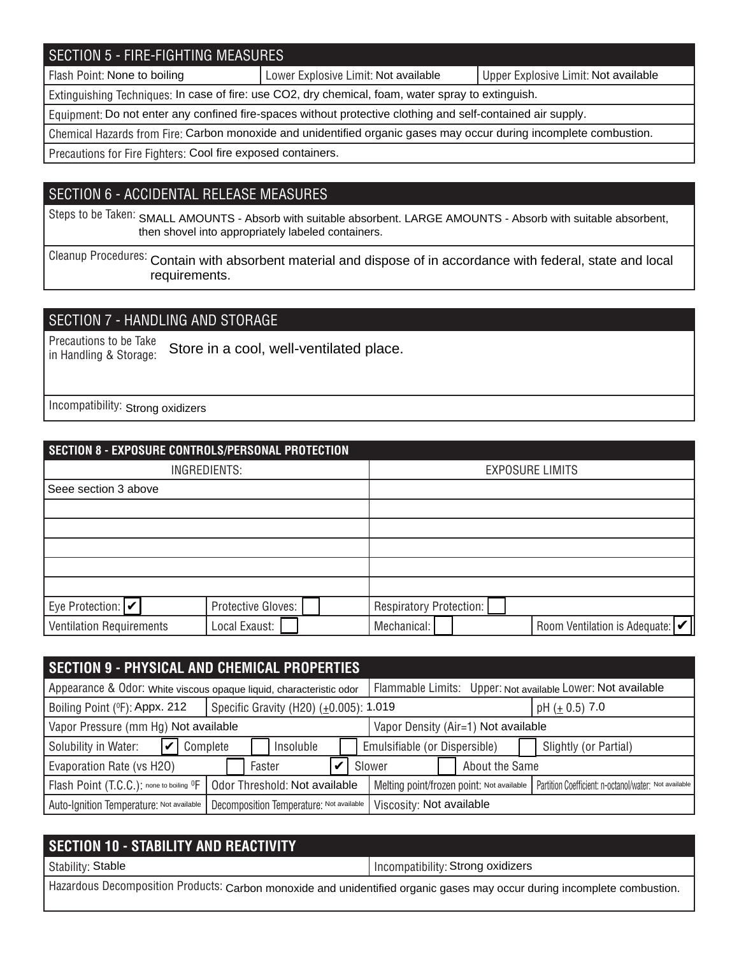# SECTION 5 - FIRE-FIGHTING MEASURES

Flash Point: None to boiling **Notable 2018** Lower Explosive Limit: Not available Not available Not available

Extinguishing Techniques: In case of fire: use CO2, dry chemical, foam, water spray to extinguish.

Equipment: Do not enter any confined fire-spaces without protective clothing and self-contained air supply.

Chemical Hazards from Fire: Carbon monoxide and unidentified organic gases may occur during incomplete combustion.

Precautions for Fire Fighters: Cool fire exposed containers.

### SECTION 6 - ACCIDENTAL RELEASE MEASURES

Steps to be Taken: SMALL AMOUNTS - Absorb with suitable absorbent. LARGE AMOUNTS - Absorb with suitable absorbent, then shovel into appropriately labeled containers.

Cleanup Procedures: Contain with absorbent material and dispose of in accordance with federal, state and local requirements.

## SECTION 7 - HANDLING AND STORAGE

Precautions to be Take in Handling & Storage: Store in a cool, well-ventilated place.

Incompatibility: Strong oxidizers

| SECTION 8 - EXPOSURE CONTROLS/PERSONAL PROTECTION |                    |                                                              |  |  |  |  |  |
|---------------------------------------------------|--------------------|--------------------------------------------------------------|--|--|--|--|--|
| INGREDIENTS:                                      |                    | <b>EXPOSURE LIMITS</b>                                       |  |  |  |  |  |
| Seee section 3 above                              |                    |                                                              |  |  |  |  |  |
|                                                   |                    |                                                              |  |  |  |  |  |
|                                                   |                    |                                                              |  |  |  |  |  |
|                                                   |                    |                                                              |  |  |  |  |  |
|                                                   |                    |                                                              |  |  |  |  |  |
|                                                   |                    |                                                              |  |  |  |  |  |
| Eye Protection: $ v $                             | Protective Gloves: | Respiratory Protection:                                      |  |  |  |  |  |
| <b>Ventilation Requirements</b>                   | Local Exaust:      | Room Ventilation is Adequate: $ \mathcal{V} $<br>Mechanical: |  |  |  |  |  |

| <b>SECTION 9 - PHYSICAL AND CHEMICAL PROPERTIES</b>                 |                                          |                                                                                                    |  |  |  |
|---------------------------------------------------------------------|------------------------------------------|----------------------------------------------------------------------------------------------------|--|--|--|
| Appearance & Odor: White viscous opaque liquid, characteristic odor |                                          | Flammable Limits: Upper: Not available Lower: Not available                                        |  |  |  |
| Boiling Point (°F): Appx. 212                                       | Specific Gravity (H20) (±0.005): 1.019   | pH $(\pm 0.5)$ 7.0                                                                                 |  |  |  |
| Vapor Pressure (mm Hg) Not available                                |                                          | Vapor Density (Air=1) Not available                                                                |  |  |  |
| Solubility in Water:<br>Complete                                    | Insoluble                                | Emulsifiable (or Dispersible)<br>Slightly (or Partial)                                             |  |  |  |
| Evaporation Rate (vs H2O)                                           | Faster                                   | About the Same<br>Slower                                                                           |  |  |  |
| Flash Point (T.C.C.): none to boiling <sup>O</sup> F                | Odor Threshold: Not available            | Melting point/frozen point: Not available<br>Partition Coefficient: n-octanol/water: Not available |  |  |  |
| Auto-Ignition Temperature: Not available                            | Decomposition Temperature: Not available | Viscosity: Not available                                                                           |  |  |  |

| <b>SECTION 10 - STABILITY AND REACTIVITY</b>                                                                             |                                   |  |  |
|--------------------------------------------------------------------------------------------------------------------------|-----------------------------------|--|--|
| Stability: Stable                                                                                                        | Incompatibility: Strong oxidizers |  |  |
| Hazardous Decomposition Products: Carbon monoxide and unidentified organic gases may occur during incomplete combustion. |                                   |  |  |